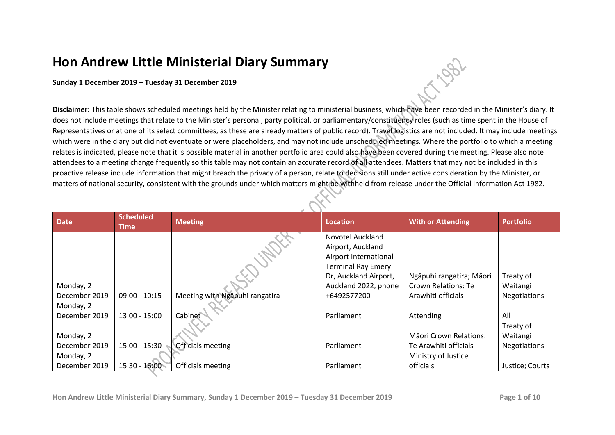## **Hon Andrew Little Ministerial Diary Summary**

## **Sunday 1 December 2019 – Tuesday 31 December 2019**

**Disclaimer:** This table shows scheduled meetings held by the Minister relating to ministerial business, which have been recorded in the Minister's diary. It does not include meetings that relate to the Minister's personal, party political, or parliamentary/constituency roles (such as time spent in the House of Representatives or at one of its select committees, as these are already matters of public record). Travel logistics are not included. It may include meetings which were in the diary but did not eventuate or were placeholders, and may not include unscheduled meetings. Where the portfolio to which a meeting relates is indicated, please note that it is possible material in another portfolio area could also have been covered during the meeting. Please also note attendees to a meeting change frequently so this table may not contain an accurate record of all attendees. Matters that may not be included in this proactive release include information that might breach the privacy of a person, relate to decisions still under active consideration by the Minister, or matters of national security, consistent with the grounds under which matters might be withheld from release under the Official Information Act 1982.

| <b>Date</b>   | <b>Scheduled</b><br><b>Time</b> | <b>Meeting</b>                 | <b>Location</b>           | <b>With or Attending</b>      | <b>Portfolio</b>    |
|---------------|---------------------------------|--------------------------------|---------------------------|-------------------------------|---------------------|
|               |                                 |                                | Novotel Auckland          |                               |                     |
|               |                                 |                                | Airport, Auckland         |                               |                     |
|               |                                 |                                | Airport International     |                               |                     |
|               |                                 |                                | <b>Terminal Ray Emery</b> |                               |                     |
|               |                                 |                                | Dr, Auckland Airport,     | Ngāpuhi rangatira; Māori      | Treaty of           |
| Monday, 2     |                                 |                                | Auckland 2022, phone      | Crown Relations: Te           | Waitangi            |
| December 2019 | $09:00 - 10:15$                 | Meeting with Ngapuhi rangatira | +6492577200               | Arawhiti officials            | Negotiations        |
| Monday, 2     |                                 |                                |                           |                               |                     |
| December 2019 | $13:00 - 15:00$                 | Cabinet                        | Parliament                | Attending                     | All                 |
|               |                                 |                                |                           |                               | Treaty of           |
| Monday, 2     |                                 |                                |                           | <b>Mäori Crown Relations:</b> | Waitangi            |
| December 2019 | 15:00 - 15:30                   | <b>Officials meeting</b>       | Parliament                | Te Arawhiti officials         | <b>Negotiations</b> |
| Monday, 2     |                                 |                                |                           | Ministry of Justice           |                     |
| December 2019 | $15:30 - 16:00$                 | Officials meeting              | Parliament                | officials                     | Justice; Courts     |

LOG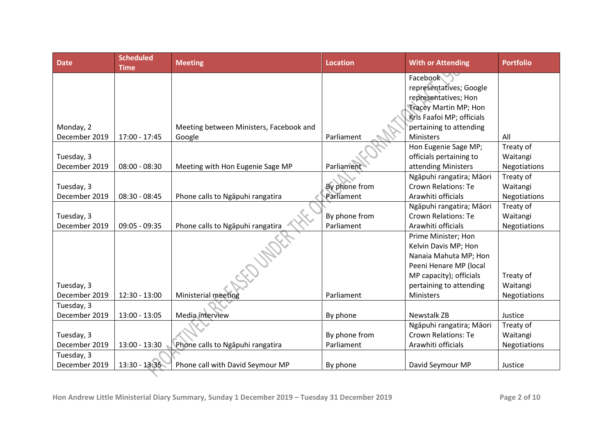| <b>Date</b>   | <b>Scheduled</b><br><b>Time</b> | <b>Meeting</b>                          | <b>Location</b> | <b>With or Attending</b>     | <b>Portfolio</b>    |
|---------------|---------------------------------|-----------------------------------------|-----------------|------------------------------|---------------------|
|               |                                 |                                         |                 | Facebook                     |                     |
|               |                                 |                                         |                 | representatives; Google      |                     |
|               |                                 |                                         |                 | representatives; Hon         |                     |
|               |                                 |                                         |                 | <b>Tracey Martin MP; Hon</b> |                     |
|               |                                 |                                         |                 | Kris Faafoi MP; officials    |                     |
| Monday, 2     |                                 | Meeting between Ministers, Facebook and |                 | pertaining to attending      |                     |
| December 2019 | 17:00 - 17:45                   | Google                                  | Parliament      | <b>Ministers</b>             | All                 |
|               |                                 |                                         |                 | Hon Eugenie Sage MP;         | Treaty of           |
| Tuesday, 3    |                                 |                                         |                 | officials pertaining to      | Waitangi            |
| December 2019 | $08:00 - 08:30$                 | Meeting with Hon Eugenie Sage MP        | Parliament      | attending Ministers          | <b>Negotiations</b> |
|               |                                 |                                         |                 | Ngāpuhi rangatira; Māori     | Treaty of           |
| Tuesday, 3    |                                 |                                         | By phone from   | <b>Crown Relations: Te</b>   | Waitangi            |
| December 2019 | $08:30 - 08:45$                 | Phone calls to Ngapuhi rangatira        | Parliament      | Arawhiti officials           | <b>Negotiations</b> |
|               |                                 |                                         |                 | Ngāpuhi rangatira; Māori     | Treaty of           |
| Tuesday, 3    |                                 |                                         | By phone from   | <b>Crown Relations: Te</b>   | Waitangi            |
| December 2019 | $09:05 - 09:35$                 | Phone calls to Ngapuhi rangatira        | Parliament      | Arawhiti officials           | <b>Negotiations</b> |
|               |                                 |                                         |                 | Prime Minister; Hon          |                     |
|               |                                 |                                         |                 | Kelvin Davis MP; Hon         |                     |
|               |                                 |                                         |                 | Nanaia Mahuta MP; Hon        |                     |
|               |                                 |                                         |                 | Peeni Henare MP (local       |                     |
|               |                                 |                                         |                 | MP capacity); officials      | Treaty of           |
| Tuesday, 3    |                                 |                                         |                 | pertaining to attending      | Waitangi            |
| December 2019 | 12:30 - 13:00                   | Ministerial meeting                     | Parliament      | Ministers                    | Negotiations        |
| Tuesday, 3    |                                 |                                         |                 |                              |                     |
| December 2019 | 13:00 - 13:05                   | Media interview                         | By phone        | <b>Newstalk ZB</b>           | Justice             |
|               |                                 |                                         |                 | Ngāpuhi rangatira; Māori     | Treaty of           |
| Tuesday, 3    |                                 |                                         | By phone from   | <b>Crown Relations: Te</b>   | Waitangi            |
| December 2019 | $13:00 - 13:30$                 | Phone calls to Ngapuhi rangatira        | Parliament      | Arawhiti officials           | <b>Negotiations</b> |
| Tuesday, 3    |                                 |                                         |                 |                              |                     |
| December 2019 | 13:30 - 13:35                   | Phone call with David Seymour MP        | By phone        | David Seymour MP             | Justice             |
|               |                                 |                                         |                 |                              |                     |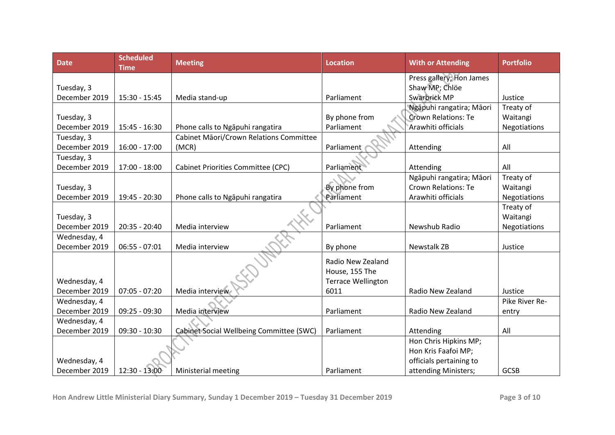| <b>Date</b>   | <b>Scheduled</b><br><b>Time</b> | <b>Meeting</b>                            | <b>Location</b>           | <b>With or Attending</b>   | <b>Portfolio</b> |
|---------------|---------------------------------|-------------------------------------------|---------------------------|----------------------------|------------------|
|               |                                 |                                           |                           | Press gallery; Hon James   |                  |
| Tuesday, 3    |                                 |                                           |                           | Shaw MP; Chlöe             |                  |
| December 2019 | 15:30 - 15:45                   | Media stand-up                            | Parliament                | Swarbrick MP               | Justice          |
|               |                                 |                                           |                           | Ngāpuhi rangatira; Māori   | Treaty of        |
| Tuesday, 3    |                                 |                                           | By phone from             | <b>Crown Relations: Te</b> | Waitangi         |
| December 2019 | 15:45 - 16:30                   | Phone calls to Ngapuhi rangatira          | Parliament                | Arawhiti officials         | Negotiations     |
| Tuesday, 3    |                                 | Cabinet Māori/Crown Relations Committee   |                           |                            |                  |
| December 2019 | $16:00 - 17:00$                 | (MCR)                                     | Parliament                | Attending                  | All              |
| Tuesday, 3    |                                 |                                           |                           |                            |                  |
| December 2019 | $17:00 - 18:00$                 | <b>Cabinet Priorities Committee (CPC)</b> | Parliament                | Attending                  | All              |
|               |                                 |                                           |                           | Ngāpuhi rangatira; Māori   | Treaty of        |
| Tuesday, 3    |                                 |                                           | By phone from             | <b>Crown Relations: Te</b> | Waitangi         |
| December 2019 | 19:45 - 20:30                   | Phone calls to Ngapuhi rangatira          | Parliament                | Arawhiti officials         | Negotiations     |
|               |                                 |                                           |                           |                            | Treaty of        |
| Tuesday, 3    |                                 |                                           |                           |                            | Waitangi         |
| December 2019 | 20:35 - 20:40                   | Media interview                           | Parliament                | Newshub Radio              | Negotiations     |
| Wednesday, 4  |                                 |                                           |                           |                            |                  |
| December 2019 | $06:55 - 07:01$                 | Media interview                           | By phone                  | <b>Newstalk ZB</b>         | Justice          |
|               |                                 |                                           | Radio New Zealand         |                            |                  |
|               |                                 |                                           | House, 155 The            |                            |                  |
| Wednesday, 4  |                                 |                                           | <b>Terrace Wellington</b> |                            |                  |
| December 2019 | $07:05 - 07:20$                 | Media interview                           | 6011                      | Radio New Zealand          | Justice          |
| Wednesday, 4  |                                 |                                           |                           |                            | Pike River Re-   |
| December 2019 | $09:25 - 09:30$                 | Media interview                           | Parliament                | Radio New Zealand          | entry            |
| Wednesday, 4  |                                 |                                           |                           |                            |                  |
| December 2019 | $09:30 - 10:30$                 | Cabinet Social Wellbeing Committee (SWC)  | Parliament                | Attending                  | All              |
|               |                                 |                                           |                           | Hon Chris Hipkins MP;      |                  |
|               |                                 |                                           |                           | Hon Kris Faafoi MP;        |                  |
| Wednesday, 4  |                                 |                                           |                           | officials pertaining to    |                  |
| December 2019 | 12:30 - 13:00                   | Ministerial meeting                       | Parliament                | attending Ministers;       | GCSB             |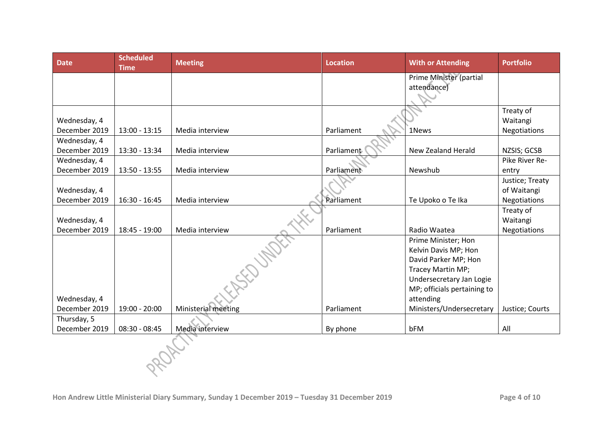| <b>Date</b>                   | <b>Scheduled</b><br><b>Time</b> | <b>Meeting</b>      | <b>Location</b> | <b>With or Attending</b>                                                                                                                                         | <b>Portfolio</b>                                      |
|-------------------------------|---------------------------------|---------------------|-----------------|------------------------------------------------------------------------------------------------------------------------------------------------------------------|-------------------------------------------------------|
|                               |                                 |                     |                 | Prime Minister (partial<br>attendance)                                                                                                                           |                                                       |
| Wednesday, 4<br>December 2019 | $13:00 - 13:15$                 | Media interview     | Parliament      | 1News                                                                                                                                                            | Treaty of<br>Waitangi<br>Negotiations                 |
| Wednesday, 4<br>December 2019 | 13:30 - 13:34                   | Media interview     | Parliament      | New Zealand Herald                                                                                                                                               | NZSIS; GCSB                                           |
| Wednesday, 4<br>December 2019 | $13:50 - 13:55$                 | Media interview     | Parliament      | Newshub                                                                                                                                                          | Pike River Re-<br>entry                               |
| Wednesday, 4<br>December 2019 | $16:30 - 16:45$                 | Media interview     | Parliament      | Te Upoko o Te Ika                                                                                                                                                | Justice; Treaty<br>of Waitangi<br><b>Negotiations</b> |
| Wednesday, 4<br>December 2019 | $18:45 - 19:00$                 | Media interview     | Parliament      | Radio Waatea                                                                                                                                                     | Treaty of<br>Waitangi<br>Negotiations                 |
| Wednesday, 4                  |                                 | ERECTORIES          |                 | Prime Minister; Hon<br>Kelvin Davis MP; Hon<br>David Parker MP; Hon<br>Tracey Martin MP;<br>Undersecretary Jan Logie<br>MP; officials pertaining to<br>attending |                                                       |
| December 2019                 | 19:00 - 20:00                   | Ministerial meeting | Parliament      | Ministers/Undersecretary                                                                                                                                         | Justice; Courts                                       |
| Thursday, 5<br>December 2019  | $08:30 - 08:45$                 | Media interview     | By phone        | bFM                                                                                                                                                              | All                                                   |
|                               |                                 |                     |                 |                                                                                                                                                                  |                                                       |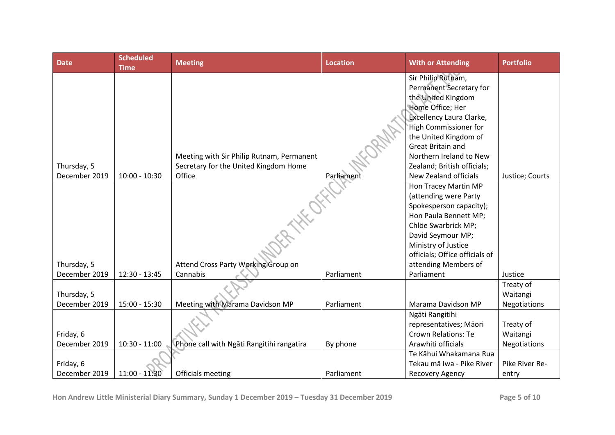| <b>Date</b>                  | <b>Scheduled</b><br><b>Time</b> | <b>Meeting</b>                                                                               | <b>Location</b> | <b>With or Attending</b>                                                                                                                                                                                                                                                                                                                     | <b>Portfolio</b>      |
|------------------------------|---------------------------------|----------------------------------------------------------------------------------------------|-----------------|----------------------------------------------------------------------------------------------------------------------------------------------------------------------------------------------------------------------------------------------------------------------------------------------------------------------------------------------|-----------------------|
| Thursday, 5<br>December 2019 | $10:00 - 10:30$                 | Meeting with Sir Philip Rutnam, Permanent<br>Secretary for the United Kingdom Home<br>Office | Parliament      | Sir Philip Rutnam,<br>Permanent Secretary for<br>the United Kingdom<br>Home Office; Her<br>Excellency Laura Clarke,<br>High Commissioner for<br>the United Kingdom of<br><b>Great Britain and</b><br>Northern Ireland to New<br>Zealand; British officials;<br><b>New Zealand officials</b><br>Hon Tracey Martin MP<br>(attending were Party | Justice; Courts       |
|                              |                                 |                                                                                              |                 | Spokesperson capacity);<br>Hon Paula Bennett MP;<br>Chlöe Swarbrick MP;                                                                                                                                                                                                                                                                      |                       |
|                              |                                 |                                                                                              |                 | David Seymour MP;<br>Ministry of Justice<br>officials; Office officials of                                                                                                                                                                                                                                                                   |                       |
| Thursday, 5                  |                                 | Attend Cross Party Working Group on                                                          |                 | attending Members of                                                                                                                                                                                                                                                                                                                         |                       |
| December 2019                | 12:30 - 13:45                   | Cannabis                                                                                     | Parliament      | Parliament                                                                                                                                                                                                                                                                                                                                   | Justice               |
| Thursday, 5                  |                                 |                                                                                              |                 |                                                                                                                                                                                                                                                                                                                                              | Treaty of<br>Waitangi |
| December 2019                | $15:00 - 15:30$                 | Meeting with Marama Davidson MP                                                              | Parliament      | Marama Davidson MP                                                                                                                                                                                                                                                                                                                           | Negotiations          |
| Friday, 6                    |                                 |                                                                                              |                 | Ngāti Rangitihi<br>representatives; Māori<br><b>Crown Relations: Te</b>                                                                                                                                                                                                                                                                      | Treaty of<br>Waitangi |
| December 2019                | $10:30 - 11:00$                 | Phone call with Ngāti Rangitihi rangatira                                                    | By phone        | Arawhiti officials                                                                                                                                                                                                                                                                                                                           | <b>Negotiations</b>   |
|                              |                                 |                                                                                              |                 | Te Kāhui Whakamana Rua                                                                                                                                                                                                                                                                                                                       |                       |
| Friday, 6                    |                                 |                                                                                              |                 | Tekau mā Iwa - Pike River                                                                                                                                                                                                                                                                                                                    | Pike River Re-        |
| December 2019                | 11:00 - 11:30                   | Officials meeting                                                                            | Parliament      | Recovery Agency                                                                                                                                                                                                                                                                                                                              | entry                 |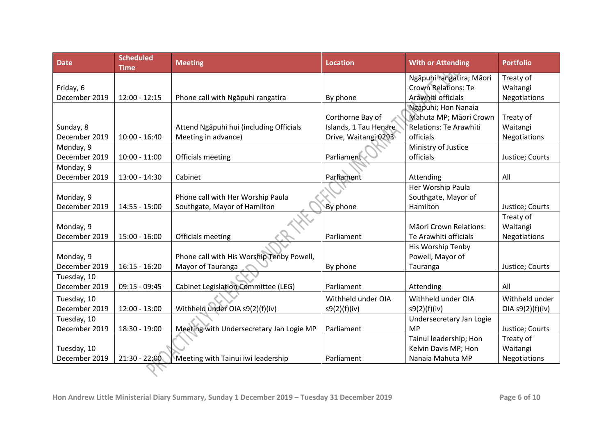| <b>Date</b>   | <b>Scheduled</b><br><b>Time</b> | <b>Meeting</b>                                                    | <b>Location</b>       | <b>With or Attending</b>        | <b>Portfolio</b> |
|---------------|---------------------------------|-------------------------------------------------------------------|-----------------------|---------------------------------|------------------|
|               |                                 |                                                                   |                       | Ngāpuhi rangatira; Māori        | Treaty of        |
| Friday, 6     |                                 |                                                                   |                       | <b>Crown Relations: Te</b>      | Waitangi         |
| December 2019 | $12:00 - 12:15$                 | Phone call with Ngapuhi rangatira                                 | By phone              | Arawhiti officials              | Negotiations     |
|               |                                 |                                                                   |                       | Ngāpuhi; Hon Nanaia             |                  |
|               |                                 |                                                                   | Corthorne Bay of      | Mahuta MP; Māori Crown          | Treaty of        |
| Sunday, 8     |                                 | Attend Ngapuhi hui (including Officials                           | Islands, 1 Tau Henare | Relations: Te Arawhiti          | Waitangi         |
| December 2019 | $10:00 - 16:40$                 | Meeting in advance)                                               | Drive, Waitangi 0293  | officials                       | Negotiations     |
| Monday, 9     |                                 |                                                                   |                       | Ministry of Justice             |                  |
| December 2019 | $10:00 - 11:00$                 | Officials meeting                                                 | Parliament            | officials                       | Justice; Courts  |
| Monday, 9     |                                 |                                                                   |                       |                                 |                  |
| December 2019 | 13:00 - 14:30                   | Cabinet                                                           | Parliament            | Attending                       | All              |
| Monday, 9     |                                 |                                                                   |                       | Her Worship Paula               |                  |
| December 2019 | $14:55 - 15:00$                 | Phone call with Her Worship Paula<br>Southgate, Mayor of Hamilton | By phone              | Southgate, Mayor of<br>Hamilton | Justice; Courts  |
|               |                                 |                                                                   |                       |                                 | Treaty of        |
| Monday, 9     |                                 |                                                                   |                       | Māori Crown Relations:          | Waitangi         |
| December 2019 | $15:00 - 16:00$                 | Officials meeting                                                 | Parliament            | Te Arawhiti officials           | Negotiations     |
|               |                                 |                                                                   |                       | His Worship Tenby               |                  |
| Monday, 9     |                                 | Phone call with His Worship Tenby Powell,                         |                       | Powell, Mayor of                |                  |
| December 2019 | $16:15 - 16:20$                 | Mayor of Tauranga                                                 | By phone              | Tauranga                        | Justice; Courts  |
| Tuesday, 10   |                                 |                                                                   |                       |                                 |                  |
| December 2019 | $09:15 - 09:45$                 | <b>Cabinet Legislation Committee (LEG)</b>                        | Parliament            | Attending                       | All              |
| Tuesday, 10   |                                 |                                                                   | Withheld under OIA    | Withheld under OIA              | Withheld under   |
| December 2019 | $12:00 - 13:00$                 | Withheld under OIA s9(2)(f)(iv)                                   | s9(2)(f)(iv)          | s9(2)(f)(iv)                    | OIA s9(2)(f)(iv) |
| Tuesday, 10   |                                 |                                                                   |                       | Undersecretary Jan Logie        |                  |
| December 2019 | 18:30 - 19:00                   | Meeting with Undersecretary Jan Logie MP                          | Parliament            | <b>MP</b>                       | Justice; Courts  |
|               |                                 |                                                                   |                       | Tainui leadership; Hon          | Treaty of        |
| Tuesday, 10   |                                 |                                                                   |                       | Kelvin Davis MP; Hon            | Waitangi         |
| December 2019 | $21:30 - 22:00$                 | Meeting with Tainui iwi leadership                                | Parliament            | Nanaia Mahuta MP                | Negotiations     |
|               |                                 |                                                                   |                       |                                 |                  |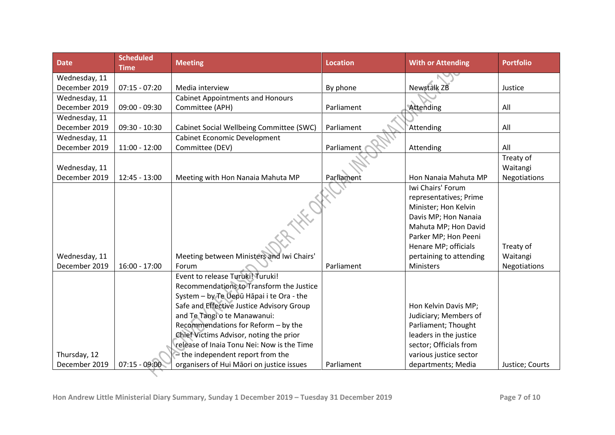| <b>Date</b>   | <b>Scheduled</b><br><b>Time</b> | <b>Meeting</b>                             | <b>Location</b> | <b>With or Attending</b> | <b>Portfolio</b> |
|---------------|---------------------------------|--------------------------------------------|-----------------|--------------------------|------------------|
| Wednesday, 11 |                                 |                                            |                 |                          |                  |
| December 2019 | $07:15 - 07:20$                 | Media interview                            | By phone        | <b>Newstalk ZB</b>       | Justice          |
| Wednesday, 11 |                                 | <b>Cabinet Appointments and Honours</b>    |                 |                          |                  |
| December 2019 | $09:00 - 09:30$                 | Committee (APH)                            | Parliament      | Attending                | All              |
| Wednesday, 11 |                                 |                                            |                 |                          |                  |
| December 2019 | $09:30 - 10:30$                 | Cabinet Social Wellbeing Committee (SWC)   | Parliament      | Attending                | All              |
| Wednesday, 11 |                                 | Cabinet Economic Development               |                 |                          |                  |
| December 2019 | $11:00 - 12:00$                 | Committee (DEV)                            | Parliament      | Attending                | All              |
|               |                                 |                                            |                 |                          | Treaty of        |
| Wednesday, 11 |                                 |                                            |                 |                          | Waitangi         |
| December 2019 | $12:45 - 13:00$                 | Meeting with Hon Nanaia Mahuta MP          | Parliament      | Hon Nanaia Mahuta MP     | Negotiations     |
|               |                                 |                                            |                 | Iwi Chairs' Forum        |                  |
|               |                                 |                                            |                 | representatives; Prime   |                  |
|               |                                 |                                            |                 | Minister; Hon Kelvin     |                  |
|               |                                 |                                            |                 | Davis MP; Hon Nanaia     |                  |
|               |                                 |                                            |                 | Mahuta MP; Hon David     |                  |
|               |                                 |                                            |                 | Parker MP; Hon Peeni     |                  |
|               |                                 |                                            |                 | Henare MP; officials     | Treaty of        |
| Wednesday, 11 |                                 | Meeting between Ministers and Iwi Chairs'  |                 | pertaining to attending  | Waitangi         |
| December 2019 | $16:00 - 17:00$                 | Forum                                      | Parliament      | <b>Ministers</b>         | Negotiations     |
|               |                                 | Event to release Turuki! Turuki!           |                 |                          |                  |
|               |                                 | Recommendations to Transform the Justice   |                 |                          |                  |
|               |                                 | System - by Te Uepū Hāpai i te Ora - the   |                 |                          |                  |
|               |                                 | Safe and Effective Justice Advisory Group  |                 | Hon Kelvin Davis MP;     |                  |
|               |                                 | and Te Tangi o te Manawanui:               |                 | Judiciary; Members of    |                  |
|               |                                 | Recommendations for Reform - by the        |                 | Parliament; Thought      |                  |
|               |                                 | Chief Victims Advisor, noting the prior    |                 | leaders in the justice   |                  |
|               |                                 | release of Inaia Tonu Nei: Now is the Time |                 | sector; Officials from   |                  |
| Thursday, 12  |                                 | - the independent report from the          |                 | various justice sector   |                  |
| December 2019 | $07:15 - 09:00$                 | organisers of Hui Māori on justice issues  | Parliament      | departments; Media       | Justice; Courts  |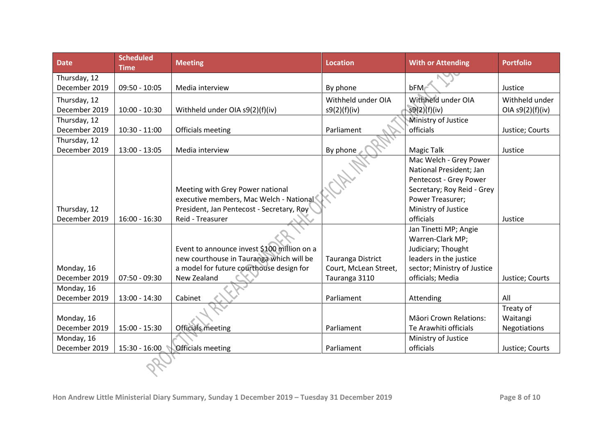| <b>Date</b>                   | <b>Scheduled</b><br><b>Time</b> | <b>Meeting</b>                                                | <b>Location</b>       | <b>With or Attending</b>         | <b>Portfolio</b>   |
|-------------------------------|---------------------------------|---------------------------------------------------------------|-----------------------|----------------------------------|--------------------|
| Thursday, 12                  |                                 |                                                               |                       |                                  |                    |
| December 2019                 | $09:50 - 10:05$                 | Media interview                                               | By phone              | $bFM$                            | Justice            |
| Thursday, 12                  |                                 |                                                               | Withheld under OIA    | Withheld under OIA               | Withheld under     |
| December 2019                 | $10:00 - 10:30$                 | Withheld under OIA s9(2)(f)(iv)                               | s9(2)(f)(iv)          | s9(2)(f)(iv)                     | OIA $s9(2)(f)(iv)$ |
| Thursday, 12                  |                                 |                                                               |                       | Ministry of Justice              |                    |
| December 2019                 | $10:30 - 11:00$                 | Officials meeting                                             | Parliament            | officials                        | Justice; Courts    |
| Thursday, 12                  |                                 |                                                               |                       |                                  |                    |
| December 2019                 | $13:00 - 13:05$                 | Media interview                                               | By phone              | <b>Magic Talk</b>                | Justice            |
|                               |                                 |                                                               |                       | Mac Welch - Grey Power           |                    |
|                               |                                 |                                                               |                       | National President; Jan          |                    |
|                               |                                 |                                                               |                       | Pentecost - Grey Power           |                    |
|                               |                                 | Meeting with Grey Power national                              |                       | Secretary; Roy Reid - Grey       |                    |
|                               |                                 | executive members, Mac Welch - National                       |                       | Power Treasurer;                 |                    |
| Thursday, 12<br>December 2019 | $16:00 - 16:30$                 | President, Jan Pentecost - Secretary, Roy<br>Reid - Treasurer |                       | Ministry of Justice<br>officials | Justice            |
|                               |                                 |                                                               |                       | Jan Tinetti MP; Angie            |                    |
|                               |                                 |                                                               |                       | Warren-Clark MP;                 |                    |
|                               |                                 | Event to announce invest \$100 million on a                   |                       | Judiciary; Thought               |                    |
|                               |                                 | new courthouse in Tauranga which will be                      | Tauranga District     | leaders in the justice           |                    |
| Monday, 16                    |                                 | a model for future courthouse design for                      | Court, McLean Street, | sector; Ministry of Justice      |                    |
| December 2019                 | $07:50 - 09:30$                 | New Zealand                                                   | Tauranga 3110         | officials; Media                 | Justice; Courts    |
| Monday, 16                    |                                 |                                                               |                       |                                  |                    |
| December 2019                 | $13:00 - 14:30$                 | Cabinet                                                       | Parliament            | Attending                        | All                |
|                               |                                 |                                                               |                       |                                  | Treaty of          |
| Monday, 16                    |                                 |                                                               |                       | <b>Māori Crown Relations:</b>    | Waitangi           |
| December 2019                 | $15:00 - 15:30$                 | <b>Officials meeting</b>                                      | Parliament            | Te Arawhiti officials            | Negotiations       |
| Monday, 16                    |                                 |                                                               |                       | Ministry of Justice              |                    |
| December 2019                 | 15:30 - 16:00                   | Officials meeting                                             | Parliament            | officials                        | Justice; Courts    |
|                               |                                 |                                                               |                       |                                  |                    |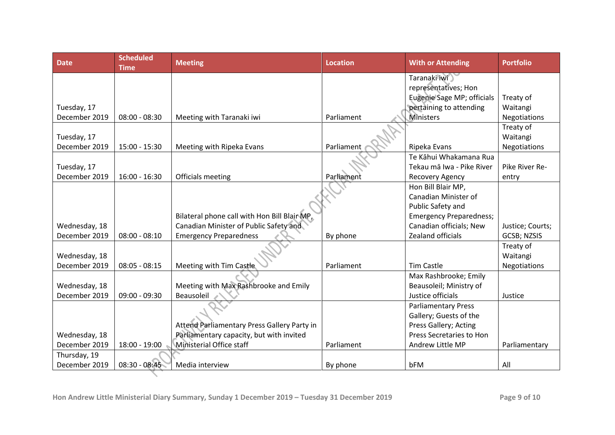| <b>Date</b>   | <b>Scheduled</b><br><b>Time</b> | <b>Meeting</b>                               | <b>Location</b> | <b>With or Attending</b>       | <b>Portfolio</b> |
|---------------|---------------------------------|----------------------------------------------|-----------------|--------------------------------|------------------|
|               |                                 |                                              |                 | Taranaki iwi                   |                  |
|               |                                 |                                              |                 | representatives; Hon           |                  |
|               |                                 |                                              |                 | Eugenie Sage MP; officials     | Treaty of        |
| Tuesday, 17   |                                 |                                              |                 | pertaining to attending        | Waitangi         |
| December 2019 | $08:00 - 08:30$                 | Meeting with Taranaki iwi                    | Parliament      | <b>Ministers</b>               | Negotiations     |
|               |                                 |                                              |                 |                                | Treaty of        |
| Tuesday, 17   |                                 |                                              |                 |                                | Waitangi         |
| December 2019 | $15:00 - 15:30$                 | Meeting with Ripeka Evans                    | Parliament      | Ripeka Evans                   | Negotiations     |
|               |                                 |                                              |                 | Te Kāhui Whakamana Rua         |                  |
| Tuesday, 17   |                                 |                                              |                 | Tekau mā Iwa - Pike River      | Pike River Re-   |
| December 2019 | $16:00 - 16:30$                 | Officials meeting                            | Parliament      | Recovery Agency                | entry            |
|               |                                 |                                              |                 | Hon Bill Blair MP,             |                  |
|               |                                 |                                              |                 | Canadian Minister of           |                  |
|               |                                 |                                              |                 | Public Safety and              |                  |
|               |                                 | Bilateral phone call with Hon Bill Blair MP, |                 | <b>Emergency Preparedness;</b> |                  |
| Wednesday, 18 |                                 | Canadian Minister of Public Safety and       |                 | Canadian officials; New        | Justice; Courts; |
| December 2019 | $08:00 - 08:10$                 | <b>Emergency Preparedness</b>                | By phone        | Zealand officials              | GCSB; NZSIS      |
|               |                                 |                                              |                 |                                | Treaty of        |
| Wednesday, 18 |                                 |                                              |                 |                                | Waitangi         |
| December 2019 | $08:05 - 08:15$                 | Meeting with Tim Castle                      | Parliament      | <b>Tim Castle</b>              | Negotiations     |
|               |                                 |                                              |                 | Max Rashbrooke; Emily          |                  |
| Wednesday, 18 |                                 | Meeting with Max Rashbrooke and Emily        |                 | Beausoleil; Ministry of        |                  |
| December 2019 | $09:00 - 09:30$                 | Beausoleil                                   |                 | Justice officials              | Justice          |
|               |                                 |                                              |                 | <b>Parliamentary Press</b>     |                  |
|               |                                 |                                              |                 | Gallery; Guests of the         |                  |
|               |                                 | Attend Parliamentary Press Gallery Party in  |                 | Press Gallery; Acting          |                  |
| Wednesday, 18 |                                 | Parliamentary capacity, but with invited     |                 | Press Secretaries to Hon       |                  |
| December 2019 | 18:00 - 19:00                   | Ministerial Office staff                     | Parliament      | Andrew Little MP               | Parliamentary    |
| Thursday, 19  |                                 |                                              |                 |                                |                  |
| December 2019 | $08:30 - 08:45$                 | Media interview                              | By phone        | bFM                            | All              |